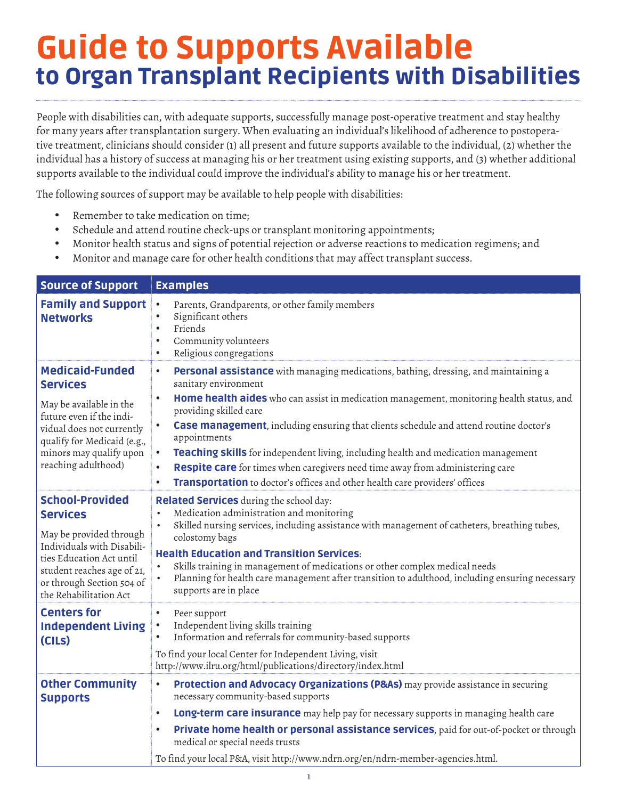## Guide to Supports Available to Organ Transplant Recipients with Disabilities

People with disabilities can, with adequate supports, successfully manage post-operative treatment and stay healthy for many years after transplantation surgery. When evaluating an individual's likelihood of adherence to postoperative treatment, clinicians should consider (1) all present and future supports available to the individual, (2) whether the individual has a history of success at managing his or her treatment using existing supports, and (3) whether additional supports available to the individual could improve the individual's ability to manage his or her treatment.

The following sources of support may be available to help people with disabilities:

- · Remember to take medication on time;
- · Schedule and attend routine check-ups or transplant monitoring appointments;
- Monitor health status and signs of potential rejection or adverse reactions to medication regimens; and
- Monitor and manage care for other health conditions that may affect transplant success.

| <b>Source of Support</b>                                                                                                                                                                                            | <b>Examples</b>                                                                                                                                                                                                                                                          |
|---------------------------------------------------------------------------------------------------------------------------------------------------------------------------------------------------------------------|--------------------------------------------------------------------------------------------------------------------------------------------------------------------------------------------------------------------------------------------------------------------------|
| <b>Family and Support</b><br><b>Networks</b>                                                                                                                                                                        | Parents, Grandparents, or other family members<br>$\bullet$<br>Significant others<br>$\bullet$<br>Friends<br>$\bullet$<br>Community volunteers<br>$\bullet$<br>Religious congregations<br>$\bullet$                                                                      |
| <b>Medicaid-Funded</b><br><b>Services</b>                                                                                                                                                                           | Personal assistance with managing medications, bathing, dressing, and maintaining a<br>$\bullet$<br>sanitary environment                                                                                                                                                 |
| May be available in the<br>future even if the indi-<br>vidual does not currently<br>qualify for Medicaid (e.g.,<br>minors may qualify upon<br>reaching adulthood)                                                   | Home health aides who can assist in medication management, monitoring health status, and<br>$\bullet$<br>providing skilled care                                                                                                                                          |
|                                                                                                                                                                                                                     | <b>Case management</b> , including ensuring that clients schedule and attend routine doctor's<br>$\bullet$<br>appointments                                                                                                                                               |
|                                                                                                                                                                                                                     | Teaching skills for independent living, including health and medication management<br>$\bullet$<br>Respite care for times when caregivers need time away from administering care<br>$\bullet$                                                                            |
|                                                                                                                                                                                                                     | Transportation to doctor's offices and other health care providers' offices<br>$\bullet$                                                                                                                                                                                 |
| <b>School-Provided</b><br><b>Services</b><br>May be provided through<br>Individuals with Disabili-<br>ties Education Act until<br>student reaches age of 21,<br>or through Section 504 of<br>the Rehabilitation Act | <b>Related Services</b> during the school day:<br>Medication administration and monitoring<br>$\bullet$<br>Skilled nursing services, including assistance with management of catheters, breathing tubes,<br>$\bullet$<br>colostomy bags                                  |
|                                                                                                                                                                                                                     | <b>Health Education and Transition Services:</b><br>Skills training in management of medications or other complex medical needs<br>Planning for health care management after transition to adulthood, including ensuring necessary<br>$\bullet$<br>supports are in place |
| <b>Centers for</b><br><b>Independent Living</b><br>(CILS)                                                                                                                                                           | Peer support<br>$\bullet$<br>Independent living skills training<br>$\bullet$<br>Information and referrals for community-based supports                                                                                                                                   |
|                                                                                                                                                                                                                     | To find your local Center for Independent Living, visit<br>http://www.ilru.org/html/publications/directory/index.html                                                                                                                                                    |
| <b>Other Community</b><br><b>Supports</b>                                                                                                                                                                           | Protection and Advocacy Organizations (P&As) may provide assistance in securing<br>$\bullet$<br>necessary community-based supports                                                                                                                                       |
|                                                                                                                                                                                                                     | Long-term care insurance may help pay for necessary supports in managing health care<br>$\bullet$                                                                                                                                                                        |
|                                                                                                                                                                                                                     | Private home health or personal assistance services, paid for out-of-pocket or through<br>$\bullet$<br>medical or special needs trusts                                                                                                                                   |
|                                                                                                                                                                                                                     | To find your local P&A, visit http://www.ndrn.org/en/ndrn-member-agencies.html.                                                                                                                                                                                          |